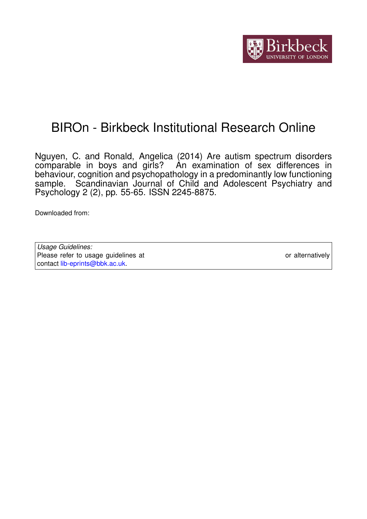

# BIROn - Birkbeck Institutional Research Online

Nguyen, C. and Ronald, Angelica (2014) Are autism spectrum disorders comparable in boys and girls? An examination of sex differences in behaviour, cognition and psychopathology in a predominantly low functioning sample. Scandinavian Journal of Child and Adolescent Psychiatry and Psychology 2 (2), pp. 55-65. ISSN 2245-8875.

Downloaded from: <https://eprints.bbk.ac.uk/id/eprint/11422/>

*Usage Guidelines:* Please refer to usage guidelines at <https://eprints.bbk.ac.uk/policies.html> or alternatively contact [lib-eprints@bbk.ac.uk.](mailto:lib-eprints@bbk.ac.uk)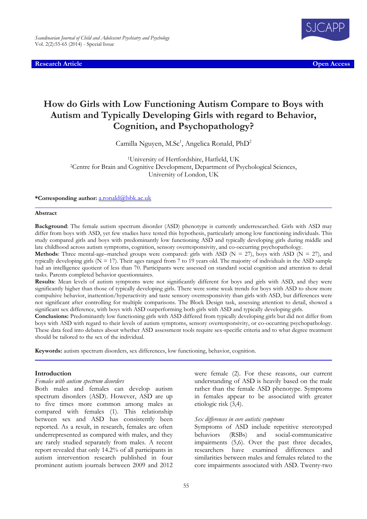Research Article **Open Access Contract Contract Contract Contract Contract Contract Contract Contract Contract Contract Contract Contract Contract Contract Contract Contract Contract Contract Contract Contract Contract C** 



# How do Girls with Low Functioning Autism Compare to Boys with Autism and Typically Developing Girls with regard to Behavior, Cognition, and Psychopathology?

Camilla Nguyen, M.Sc<sup>1</sup>, Angelica Ronald, PhD<sup>2</sup>

<sup>1</sup>University of Hertfordshire, Hatfield, UK <sup>2</sup>Centre for Brain and Cognitive Development, Department of Psychological Sciences, University of London, UK

#### \*Corresponding author: a.ronald@bbk.ac.uk

#### Abstract

Background: The female autism spectrum disorder (ASD) phenotype is currently underresearched. Girls with ASD may differ from boys with ASD, yet few studies have tested this hypothesis, particularly among low functioning individuals. This study compared girls and boys with predominantly low functioning ASD and typically developing girls during middle and late childhood across autism symptoms, cognition, sensory overresponsivity, and co-occurring psychopathology.

**Methods:** Three mental-age–matched groups were compared: girls with ASD ( $N = 27$ ), boys with ASD ( $N = 27$ ), and typically developing girls ( $N = 17$ ). Their ages ranged from 7 to 19 years old. The majority of individuals in the ASD sample had an intelligence quotient of less than 70. Participants were assessed on standard social cognition and attention to detail tasks. Parents completed behavior questionnaires.

Results: Mean levels of autism symptoms were not significantly different for boys and girls with ASD, and they were significantly higher than those of typically developing girls. There were some weak trends for boys with ASD to show more compulsive behavior, inattention/hyperactivity and taste sensory overresponsivity than girls with ASD, but differences were not significant after controlling for multiple comparisons. The Block Design task, assessing attention to detail, showed a significant sex difference, with boys with ASD outperforming both girls with ASD and typically developing girls.

Conclusions: Predominantly low functioning girls with ASD differed from typically developing girls but did not differ from boys with ASD with regard to their levels of autism symptoms, sensory overresponsivity, or co-occurring psychopathology. These data feed into debates about whether ASD assessment tools require sex-specific criteria and to what degree treatment should be tailored to the sex of the individual.

Keywords: autism spectrum disorders, sex differences, low functioning, behavior, cognition.

#### Introduction

#### Females with autism spectrum disorders

Both males and females can develop autism spectrum disorders (ASD). However, ASD are up to five times more common among males as compared with females (1). This relationship between sex and ASD has consistently been reported. As a result, in research, females are often underrepresented as compared with males, and they are rarely studied separately from males. A recent report revealed that only 14.2% of all participants in autism intervention research published in four prominent autism journals between 2009 and 2012

were female (2). For these reasons, our current understanding of ASD is heavily based on the male rather than the female ASD phenotype. Symptoms in females appear to be associated with greater etiologic risk (3,4).

#### Sex differences in core autistic symptoms

Symptoms of ASD include repetitive stereotyped behaviors (RSBs) and social-communicative impairments (5,6). Over the past three decades, researchers have examined differences and similarities between males and females related to the core impairments associated with ASD. Twenty-two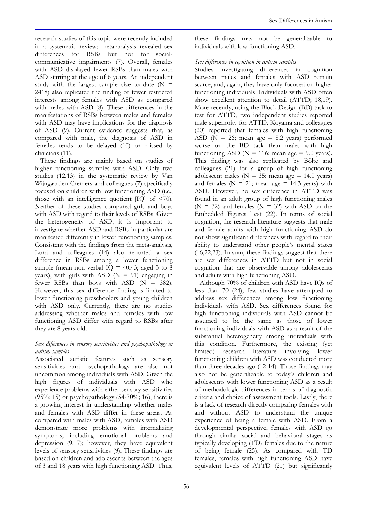research studies of this topic were recently included in a systematic review; meta-analysis revealed sex differences for RSBs but not for socialcommunicative impairments (7). Overall, females with ASD displayed fewer RSBs than males with ASD starting at the age of 6 years. An independent study with the largest sample size to date  $(N =$ 2418) also replicated the finding of fewer restricted interests among females with ASD as compared with males with ASD (8). These differences in the manifestations of RSBs between males and females with ASD may have implications for the diagnosis of ASD (9). Current evidence suggests that, as compared with male, the diagnosis of ASD in females tends to be delayed (10) or missed by clinicians (11).

These findings are mainly based on studies of higher functioning samples with ASD. Only two studies (12,13) in the systematic review by Van Wijngaarden-Cremers and colleagues (7) specifically focused on children with low functioning ASD (i.e., those with an intelligence quotient [IQ] of <70). Neither of these studies compared girls and boys with ASD with regard to their levels of RSBs. Given the heterogeneity of ASD, it is important to investigate whether ASD and RSBs in particular are manifested differently in lower functioning samples. Consistent with the findings from the meta-analysis, Lord and colleagues (14) also reported a sex difference in RSBs among a lower functioning sample (mean non-verbal  $IO = 40.43$ ; aged 3 to 8 years), with girls with ASD  $(N = 91)$  engaging in fewer RSBs than boys with ASD (N = 382). However, this sex difference finding is limited to lower functioning preschoolers and young children with ASD only. Currently, there are no studies addressing whether males and females with low functioning ASD differ with regard to RSBs after they are 8 years old.

# Sex differences in sensory sensitivities and psychopathology in autism samples

Associated autistic features such as sensory sensitivities and psychopathology are also not uncommon among individuals with ASD. Given the high figures of individuals with ASD who experience problems with either sensory sensitivities (95%; 15) or psychopathology (54-70%; 16), there is a growing interest in understanding whether males and females with ASD differ in these areas. As compared with males with ASD, females with ASD demonstrate more problems with internalizing symptoms, including emotional problems and depression (9,17); however, they have equivalent levels of sensory sensitivities (9). These findings are based on children and adolescents between the ages of 3 and 18 years with high functioning ASD. Thus,

these findings may not be generalizable to individuals with low functioning ASD.

# Sex differences in cognition in autism samples

Studies investigating differences in cognition between males and females with ASD remain scarce, and, again, they have only focused on higher functioning individuals. Individuals with ASD often show excellent attention to detail (ATTD; 18,19). More recently, using the Block Design (BD) task to test for ATTD, two independent studies reported male superiority for ATTD. Koyama and colleagues (20) reported that females with high functioning ASD ( $\overline{N}$  = 26; mean age = 8.2 years) performed worse on the BD task than males with high functioning ASD ( $N = 116$ ; mean age = 9.0 years). This finding was also replicated by Bölte and colleagues (21) for a group of high functioning adolescent males ( $N = 35$ ; mean age = 14.0 years) and females ( $N = 21$ ; mean age = 14.3 years) with ASD. However, no sex difference in ATTD was found in an adult group of high functioning males  $(N = 32)$  and females  $(N = 32)$  with ASD on the Embedded Figures Test (22). In terms of social cognition, the research literature suggests that male and female adults with high functioning ASD do not show significant differences with regard to their ability to understand other people's mental states (16,22,23). In sum, these findings suggest that there are sex differences in ATTD but not in social cognition that are observable among adolescents and adults with high functioning ASD.

Although 70% of children with ASD have IQs of less than 70 (24), few studies have attempted to address sex differences among low functioning individuals with ASD. Sex differences found for high functioning individuals with ASD cannot be assumed to be the same as those of lower functioning individuals with ASD as a result of the substantial heterogeneity among individuals with this condition. Furthermore, the existing (yet limited) research literature involving lower functioning children with ASD was conducted more than three decades ago (12-14). Those findings may also not be generalizable to today's children and adolescents with lower functioning ASD as a result of methodologic differences in terms of diagnostic criteria and choice of assessment tools. Lastly, there is a lack of research directly comparing females with and without ASD to understand the unique experience of being a female with ASD. From a developmental perspective, females with ASD go through similar social and behavioral stages as typically developing (TD) females due to the nature of being female (25). As compared with TD females, females with high functioning ASD have equivalent levels of ATTD (21) but significantly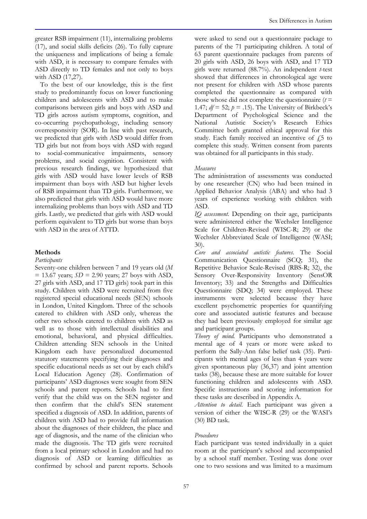greater RSB impairment (11), internalizing problems (17), and social skills deficits (26). To fully capture the uniqueness and implications of being a female with ASD, it is necessary to compare females with ASD directly to TD females and not only to boys with ASD (17,27).

To the best of our knowledge, this is the first study to predominantly focus on lower functioning children and adolescents with ASD and to make comparisons between girls and boys with ASD and TD girls across autism symptoms, cognition, and co-occurring psychopathology, including sensory overresponsivity (SOR). In line with past research, we predicted that girls with ASD would differ from TD girls but not from boys with ASD with regard to social-communicative impairments, sensory problems, and social cognition. Consistent with previous research findings, we hypothesized that girls with ASD would have lower levels of RSB impairment than boys with ASD but higher levels of RSB impairment than TD girls. Furthermore, we also predicted that girls with ASD would have more internalizing problems than boys with ASD and TD girls. Lastly, we predicted that girls with ASD would perform equivalent to TD girls but worse than boys with ASD in the area of ATTD.

#### Methods

#### Participants

Seventy-one children between 7 and 19 years old (M  $= 13.67$  years;  $SD = 2.90$  years; 27 boys with ASD, 27 girls with ASD, and 17 TD girls) took part in this study. Children with ASD were recruited from five registered special educational needs (SEN) schools in London, United Kingdom. Three of the schools catered to children with ASD only, whereas the other two schools catered to children with ASD as well as to those with intellectual disabilities and emotional, behavioral, and physical difficulties. Children attending SEN schools in the United Kingdom each have personalized documented statutory statements specifying their diagnoses and specific educational needs as set out by each child's Local Education Agency (28). Confirmation of participants' ASD diagnoses were sought from SEN schools and parent reports. Schools had to first verify that the child was on the SEN register and then confirm that the child's SEN statement specified a diagnosis of ASD. In addition, parents of children with ASD had to provide full information about the diagnoses of their children, the place and age of diagnosis, and the name of the clinician who made the diagnosis. The TD girls were recruited from a local primary school in London and had no diagnosis of ASD or learning difficulties as confirmed by school and parent reports. Schools

were asked to send out a questionnaire package to parents of the 71 participating children. A total of 63 parent questionnaire packages from parents of 20 girls with ASD, 26 boys with ASD, and 17 TD girls were returned  $(88.7%)$ . An independent t-test showed that differences in chronological age were not present for children with ASD whose parents completed the questionnaire as compared with those whose did not complete the questionnaire  $(t =$ 1.47;  $df = 52$ ;  $p = .15$ ). The University of Birkbeck's Department of Psychological Science and the National Autistic Society's Research Ethics Committee both granted ethical approval for this study. Each family received an incentive of  $f_5$  to complete this study. Written consent from parents was obtained for all participants in this study.

## Measures

The administration of assessments was conducted by one researcher (CN) who had been trained in Applied Behavior Analysis (ABA) and who had 3 years of experience working with children with ASD.

IQ assessment. Depending on their age, participants were administered either the Wechsler Intelligence Scale for Children-Revised (WISC-R; 29) or the Wechsler Abbreviated Scale of Intelligence (WASI; 30).

Core and associated autistic features. The Social Communication Questionnaire (SCQ; 31), the Repetitive Behavior Scale-Revised (RBS-R; 32), the Sensory Over-Responsivity Inventory (SensOR Inventory; 33) and the Strengths and Difficulties Questionnaire (SDQ; 34) were employed. These instruments were selected because they have excellent psychometric properties for quantifying core and associated autistic features and because they had been previously employed for similar age and participant groups.

Theory of mind. Participants who demonstrated a mental age of 4 years or more were asked to perform the Sally-Ann false belief task (35). Participants with mental ages of less than 4 years were given spontaneous play (36,37) and joint attention tasks (38), because these are more suitable for lower functioning children and adolescents with ASD. Specific instructions and scoring information for these tasks are described in Appendix A.

Attention to detail. Each participant was given a version of either the WISC-R (29) or the WASI's (30) BD task.

# Procedures

Each participant was tested individually in a quiet room at the participant's school and accompanied by a school staff member. Testing was done over one to two sessions and was limited to a maximum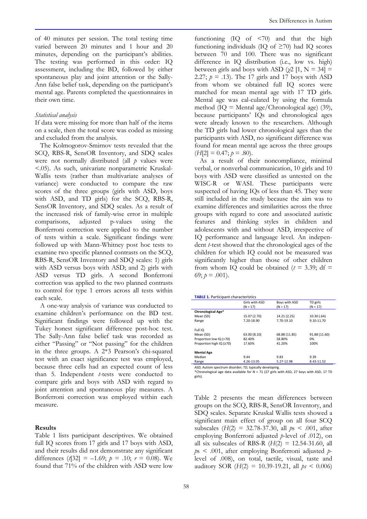of 40 minutes per session. The total testing time varied between 20 minutes and 1 hour and 20 minutes, depending on the participant's abilities. The testing was performed in this order: IQ assessment, including the BD, followed by either spontaneous play and joint attention or the Sally-Ann false belief task, depending on the participant's mental age. Parents completed the questionnaires in their own time.

#### Statistical analysis

If data were missing for more than half of the items on a scale, then the total score was coded as missing and excluded from the analysis.

The Kolmogorov-Smirnov tests revealed that the SCQ, RBS-R, SensOR Inventory, and SDQ scales were not normally distributed (all  $p$  values were <.05). As such, univariate nonparametric Kruskal-Wallis tests (rather than multivariate analyses of variance) were conducted to compare the raw scores of the three groups (girls with ASD, boys with ASD, and TD girls) for the SCQ, RBS-R, SensOR Inventory, and SDQ scales. As a result of the increased risk of family-wise error in multiple comparisons, adjusted p-values using the Bonferroni correction were applied to the number of tests within a scale. Significant findings were followed up with Mann-Whitney post hoc tests to examine two specific planned contrasts on the SCQ, RBS-R, SensOR Inventory and SDQ scales: 1) girls with ASD versus boys with ASD; and 2) girls with ASD versus TD girls. A second Bonferroni correction was applied to the two planned contrasts to control for type 1 errors across all tests within each scale.

A one-way analysis of variance was conducted to examine children's performance on the BD test. Significant findings were followed up with the Tukey honest significant difference post-hoc test. The Sally-Ann false belief task was recorded as either "Passing" or "Not passing" for the children in the three groups. A 2\*3 Pearson's chi-squared test with an exact significance test was employed, because three cells had an expected count of less than 5. Independent t-tests were conducted to compare girls and boys with ASD with regard to joint attention and spontaneous play measures. A Bonferroni correction was employed within each measure.

## Results

Table 1 lists participant descriptives. We obtained full IQ scores from 17 girls and 17 boys with ASD, and their results did not demonstrate any significant differences  $(t[32] = -1.69; p = .10; r = 0.08)$ . We found that 71% of the children with ASD were low functioning  $(IQ \ of \ <70)$  and that the high functioning individuals (IO of  $\geq$ 70) had IO scores between 70 and 100. There was no significant difference in IQ distribution (i.e., low vs. high) between girls and boys with ASD ( $\chi$ 2 [1, N = 34] = 2.27;  $p = .13$ ). The 17 girls and 17 boys with ASD from whom we obtained full IQ scores were matched for mean mental age with 17 TD girls. Mental age was cal-culated by using the formula method  $(IQ = Mental age/Chronological age)$  (39), because participants' IQs and chronological ages were already known to the researchers. Although the TD girls had lower chronological ages than the participants with ASD, no significant difference was found for mean mental age across the three groups  $(H[2] = 0.47; p = .80).$ 

As a result of their noncompliance, minimal verbal, or nonverbal communication, 10 girls and 10 boys with ASD were classified as untested on the WISC-R or WASI. These participants were suspected of having IQs of less than 45. They were still included in the study because the aim was to examine differences and similarities across the three groups with regard to core and associated autistic features and thinking styles in children and adolescents with and without ASD, irrespective of IQ performance and language level. An independent t-test showed that the chronological ages of the children for which IQ could not be measured was significantly higher than those of other children from whom IQ could be obtained  $(t = 3.39; df =$ 69;  $p = .001$ ).

| <b>TABLE 1. Participant characteristics</b> |                              |                             |                        |  |  |  |
|---------------------------------------------|------------------------------|-----------------------------|------------------------|--|--|--|
|                                             | Girls with ASD<br>$(N = 17)$ | Boys with ASD<br>$(N = 17)$ | TD girls<br>$(N = 17)$ |  |  |  |
| Chronological Age*                          |                              |                             |                        |  |  |  |
| Mean (SD)                                   | 15.07 (2.70)                 | 14.21 (2.25)                | 10.30(.64)             |  |  |  |
| Range                                       | 7.20-18.90                   | 7.70-19.10                  | 9.10-11.70             |  |  |  |
| Full IQ                                     |                              |                             |                        |  |  |  |
| Mean (SD)                                   | 63.00 (8.10)                 | 68.88 (11.85)               | 91.88 (11.60)          |  |  |  |
| Proportion low IQ (<70)                     | 82.40%                       | 58.80%                      | 0%                     |  |  |  |
| Proportion high IQ (≥70)                    | 17.60%                       | 41.20%                      | 100%                   |  |  |  |
| <b>Mental Age</b>                           |                              |                             |                        |  |  |  |
| Median                                      | 9.44                         | 9.83                        | 9.39                   |  |  |  |
| Range                                       | 4.26-13.05                   | 5.27-12.98                  | 8.43-11.52             |  |  |  |

ASD, Autism spectrum disorder; TD, typically developing. \*Chronological age data available for N = 71 (27 girls with ASD, 27 boys with ASD, 17 TD girls).

Table 2 presents the mean differences between groups on the SCQ, RBS-R, SensOR Inventory, and SDQ scales. Separate Kruskal Wallis tests showed a significant main effect of group on all four SCQ subscales  $(H(2) = 32.78-37.30,$  all  $ps < .001$ , after employing Bonferroni adjusted p-level of .012), on all six subscales of RBS-R  $(H(2) = 12.54-31.60,$  all  $ps < .001$ , after employing Bonferroni adjusted plevel of .008), on total, tactile, visual, taste and auditory SOR  $(H(2) = 10.39-19.21,$  all  $ps < 0.006$ )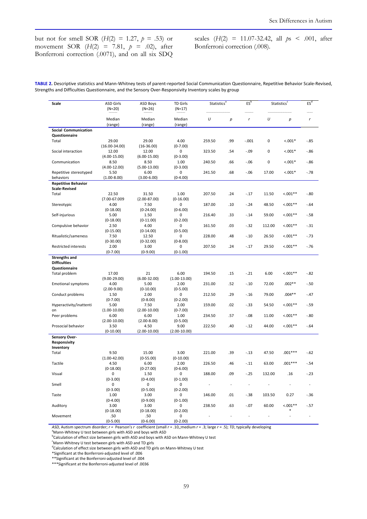but not for smell SOR ( $H(2) = 1.27$ ,  $p = .53$ ) or movement SOR  $(H(2) = 7.81, p = .02)$ , after Bonferroni correction (.0071), and on all six SDQ scales  $(H(2) = 11.07-32.42,$  all  $ps < .001$ , after Bonferroni correction (.008).

| TABLE 2. Descriptive statistics and Mann-Whitney tests of parent-reported Social Communication Questionnaire, Repetitive Behavior Scale-Revised, |
|--------------------------------------------------------------------------------------------------------------------------------------------------|
| Strengths and Difficulties Questionnaire, and the Sensory Over-Responsivity Inventory scales by group                                            |

| Scale                         | ASD Girls              | <b>ASD Boys</b>         | <b>TD Girls</b>        | <b>Statistics<sup>a</sup></b> |        | ES <sup>b</sup>          | Statistics <sup>c</sup> |            | ES <sup>d</sup>          |  |
|-------------------------------|------------------------|-------------------------|------------------------|-------------------------------|--------|--------------------------|-------------------------|------------|--------------------------|--|
|                               | $(N=20)$               | $(N=26)$                | $(N=17)$               |                               |        |                          |                         |            |                          |  |
|                               |                        |                         |                        |                               |        |                          |                         |            |                          |  |
|                               | Median                 | Median                  | Median                 | U                             | р      | r                        | U                       | р          | r                        |  |
|                               | (range)                | (range)                 | (range)                |                               |        |                          |                         |            |                          |  |
| <b>Social Communication</b>   |                        |                         |                        |                               |        |                          |                         |            |                          |  |
| Questionnaire                 |                        |                         |                        |                               |        |                          |                         |            |                          |  |
| Total                         | 29.00                  | 29.00                   | 4.00                   | 259.50                        | .99    | $-.001$                  | 0                       | $< .001*$  | $-85$                    |  |
|                               | $(16.00 - 34.00)$      | $(16-36.00)$            | $(0-7.00)$             |                               |        |                          |                         |            |                          |  |
| Social interaction            | 12.00                  | 12.00                   | 0                      | 323.50                        | .54    | $-.09$                   | 0                       | $< .001*$  | $-86$                    |  |
|                               | $(4.00 - 15.00)$       | $(6.00-15.00)$          | $(0-3.00)$             |                               |        |                          |                         |            |                          |  |
| Communication                 | 8.50                   | 8.50                    | 1.00                   | 240.50                        | .66    | $-0.06$                  | 0                       | $< .001*$  | $-86$                    |  |
|                               | $(4.00-12.00)$         | $(5.00-13.00)$          | $(0-3.00)$             |                               |        |                          |                         |            |                          |  |
| Repetitive stereotyped        | 5.50                   | 6.00                    | 0                      | 241.50                        | .68    | $-.06$                   | 17.00                   | $< .001*$  | $-78$                    |  |
| behaviors                     | $(1.00 - 8.00)$        | $(3.00 - 6.00)$         | $(0-4.00)$             |                               |        |                          |                         |            |                          |  |
| <b>Repetitive Behavior</b>    |                        |                         |                        |                               |        |                          |                         |            |                          |  |
| <b>Scale-Revised</b>          |                        |                         |                        |                               |        |                          |                         |            |                          |  |
| Total                         | 22.50                  | 31.50                   | 1.00                   | 207.50                        | .24    | $-.17$                   | 11.50                   | $0.001**$  | $-0.80$                  |  |
|                               | $(7.00 - 67.009$       | $(2.00 - 87.00)$        | $(0-16.00)$            |                               |        |                          |                         |            |                          |  |
| Stereotypic                   | 4.00                   | 7.50                    | 0                      | 187.00                        | .10    | $-24$                    | 48.50                   | $0.001**$  | $-64$                    |  |
|                               | $(0-18.00)$            | $(0-24.00)$             | $(0-6.00)$             |                               |        |                          |                         |            |                          |  |
| Self-injurious                | 5.00                   | 1.50                    | 0                      | 216.40                        | .33    | $-14$                    | 59.00                   | $0.001**$  | $-58$                    |  |
|                               | $(0-18.00)$            | $(0-11.00)$             | $(0-2.00)$             |                               |        |                          |                         |            |                          |  |
| Compulsive behavior           | 2.50                   | 4.00                    | 0                      | 161.50                        | .03    | $-32$                    | 112.00                  | $< .001**$ | $-31$                    |  |
|                               | $(0-15.00)$            | $(0-14.00)$             | $(0-5.00)$             |                               |        |                          |                         |            |                          |  |
| Ritualistic/sameness          | 7.50                   | 12.50                   | 0                      | 228.00                        | .48    | $-.10$                   | 26.50                   | $< 0.01**$ | $-73$                    |  |
|                               | $(0-30.00)$            | $(0-32.00)$             | $(0-8.00)$             |                               |        |                          |                         |            |                          |  |
| <b>Restricted interests</b>   | 2.00                   | 3.00                    | 0                      | 207.50                        | .24    | $-.17$                   | 29.50                   | $< 0.01**$ | $-76$                    |  |
|                               | $(0-7.00)$             | $(0-9.00)$              | $(0-1.00)$             |                               |        |                          |                         |            |                          |  |
| <b>Strengths and</b>          |                        |                         |                        |                               |        |                          |                         |            |                          |  |
| <b>Difficulties</b>           |                        |                         |                        |                               |        |                          |                         |            |                          |  |
| Questionnaire                 |                        |                         |                        |                               |        |                          |                         |            |                          |  |
|                               | 17.00                  | 21                      | 6.00                   | 194.50                        | .15    | $-21$                    | 6.00                    | $0.001**$  | $-82$                    |  |
| Total problem                 | $(9.00 - 29.00)$       | $(6.00 - 32.00)$        |                        |                               |        |                          |                         |            |                          |  |
|                               | 4.00                   | 5.00                    | $(1.00-13.00)$<br>2.00 | 231.00                        | .52    | $-.10$                   | 72.00                   | $.002**$   | $-50$                    |  |
| <b>Emotional symptoms</b>     |                        |                         |                        |                               |        |                          |                         |            |                          |  |
|                               | $(2.00-9.00)$          | $(0-10.00)$             | $(0-5.00)$<br>0        |                               |        | $-.16$                   | 79.00                   | $.004**$   |                          |  |
| Conduct problems              | 1.50<br>$(0-7.00)$     | 2.00                    | $(0-2.00)$             | 212.50                        | .29    |                          |                         |            | $-47$                    |  |
|                               |                        | $(0-8.00)$              |                        | 159.00                        | .02    | $-.33$                   | 54.50                   | $0.001**$  | $-59$                    |  |
| Hyperactivity/inattenti<br>on | 5.00                   | 7.50                    | 2.00                   |                               |        |                          |                         |            |                          |  |
|                               | $(1.00-10.00)$         | $(2.00-10.00)$          | $(0-7.00)$             |                               |        | $-0.08$                  | 11.00                   | $0.001**$  | $-80$                    |  |
| Peer problems                 | 6.00                   | 6.00                    | 1.00                   | 234.50                        | .57    |                          |                         |            |                          |  |
| Prosocial behavior            | $(2.00-10.00)$<br>3.50 | $(2.00 - 8.00)$<br>4.50 | $(0-5.00)$<br>9.00     | 222.50                        | .40    | $-.12$                   | 44.00                   | $< 0.01**$ | $-64$                    |  |
|                               | $(0-10.00)$            | $(2.00-10.00)$          | $(2.00-10.00)$         |                               |        |                          |                         |            |                          |  |
|                               |                        |                         |                        |                               |        |                          |                         |            |                          |  |
| Sensory Over-                 |                        |                         |                        |                               |        |                          |                         |            |                          |  |
| <b>Responsivity</b>           |                        |                         |                        |                               |        |                          |                         |            |                          |  |
| Inventory<br>Total            | 9.50                   | 15.00                   | 3.00                   | 221.00                        | .39    | $-.13$                   | 47.50                   | $.001***$  |                          |  |
|                               | $(1.00 - 42.00)$       | $(0-55.00)$             | $(0-10.00)$            |                               |        |                          |                         |            | $-.62$                   |  |
|                               |                        |                         |                        |                               |        | $-11$                    | 63.00                   | $.001***$  |                          |  |
| Tactile                       | 4.50                   | 6.00<br>$(0-27.00)$     | 2.00<br>$(0-6.00)$     | 226.50                        | .46    |                          |                         |            | - 54                     |  |
| Visual                        | $(0-18.00)$            |                         |                        | 188.00                        | .09    | $-.25$                   | 132.00                  | .16        | $-.23$                   |  |
|                               | $(0-3.00)$             | 1.50<br>$(0-4.00)$      | $(0-1.00)$             |                               |        |                          |                         |            |                          |  |
| Smell                         | $\mathbf 0$            | 0                       | 0                      |                               | $\sim$ | $\overline{\phantom{a}}$ |                         |            | $\overline{\phantom{a}}$ |  |
|                               | $(0-3.00)$             | $(0-5.00)$              | $(0-2.00)$             |                               |        |                          |                         |            |                          |  |
| Taste                         | 1.00                   | 3.00                    | 0                      | 146.00                        | .01    | $-.38$                   | 103.50                  | 0.27       | $-36$                    |  |
|                               | $(0-4.00)$             | $(0-9.00)$              | $(0-1.00)$             |                               |        |                          |                         |            |                          |  |
| Auditory                      | 3.00                   | 3.00                    | 0                      | 238.50                        | .63    | $-.07$                   | 60.00                   | $< .001**$ | $-57$                    |  |
|                               | $(0-18.00)$            | $(0-18.00)$             | $(0-2.00)$             |                               |        |                          |                         |            |                          |  |
| Movement                      | .50                    | .50                     | 0                      |                               |        | $\overline{\phantom{a}}$ |                         |            | $\overline{\phantom{a}}$ |  |
|                               | $(0-5.00)$             | $(0-6.00)$              | $(0-2.00)$             |                               |        |                          |                         |            |                          |  |
|                               |                        |                         |                        |                               |        |                          |                         |            |                          |  |

ASD, Autism spectrum disorder;  $r =$  Pearson's r coefficient (small  $r = .10$ ,; medium  $r = .3$ ; large  $r = .5$ ); TD, typically developing

<sup>a</sup>Mann-Whitney U test between girls with ASD and boys with ASD

<sup>b</sup>Calculation of effect size between girls with ASD and boys with ASD on Mann-Whitney U test

<sup>c</sup>Mann-Whitney U test between girls with ASD and TD girls

<sup>d</sup>Calculation of effect size between girls with ASD and TD girls on Mann-Whitney U test

\*Significant at the Bonferroni-adjusted level of .006

\*\*Significant at the Bonferroni-adjusted level of .004

\*\*\*Significant at the Bonferroni-adjusted level of .0036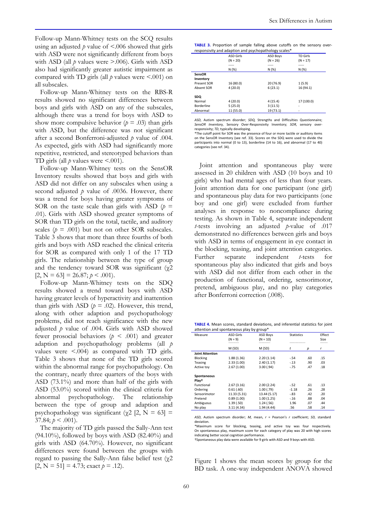Follow-up Mann-Whitney tests on the SCQ results using an adjusted  $p$  value of  $\leq$  006 showed that girls with ASD were not significantly different from boys with ASD (all  $p$  values were  $> 0.006$ ). Girls with ASD also had significantly greater autistic impairment as compared with TD girls (all  $p$  values were <.001) on all subscales.

Follow-up Mann-Whitney tests on the RBS-R results showed no significant differences between boys and girls with ASD on any of the subscales, although there was a trend for boys with ASD to show more compulsive behavior ( $p = .03$ ) than girls with ASD, but the difference was not significant after a second Bonferroni-adjusted  $p$  value of .004. As expected, girls with ASD had significantly more repetitive, restricted, and stereotyped behaviors than TD girls (all  $p$  values were  $\leq 0.001$ ).

Follow-up Mann-Whitney tests on the SensOR Inventory results showed that boys and girls with ASD did not differ on any subscales when using a second adjusted  $p$  value of .0036. However, there was a trend for boys having greater symptoms of SOR on the taste scale than girls with ASD ( $p =$ .01). Girls with ASD showed greater symptoms of SOR than TD girls on the total, tactile, and auditory scales ( $p = .001$ ) but not on other SOR subscales. Table 3 shows that more than three fourths of both girls and boys with ASD reached the clinical criteria for SOR as compared with only 1 of the 17 TD girls. The relationship between the type of group and the tendency toward SOR was significant  $(\gamma 2)$  $[2, N = 63] = 26.87; p < .001$ .

Follow-up Mann-Whitney tests on the SDQ results showed a trend toward boys with ASD having greater levels of hyperactivity and inattention than girls with ASD ( $p = .02$ ). However, this trend, along with other adaption and psychopathology problems, did not reach significance with the new adjusted  $p$  value of .004. Girls with ASD showed fewer prosocial behaviors ( $p \leq .001$ ) and greater adaption and psychopathology problems (all p values were <.004) as compared with TD girls. Table 3 shows that none of the TD girls scored within the abnormal range for psychopathology. On the contrary, nearly three quarters of the boys with ASD (73.1%) and more than half of the girls with ASD (53.0%) scored within the clinical criteria for abnormal psychopathology. The relationship between the type of group and adaption and psychopathology was significant ( $\chi$ 2 [2, N = 63] = 37.84;  $p < .001$ ).

The majority of TD girls passed the Sally-Ann test  $(94.10\%)$ , followed by boys with ASD  $(82.40\%)$  and girls with ASD (64.70%). However, no significant differences were found between the groups with regard to passing the Sally-Ann false belief test  $(\gamma 2)$  $[2, N = 51] = 4.73$ ; exact  $p = .12$ ).

| <b>TABLE 3.</b> Proportion of sample falling above cutoffs on the sensory over- |  |  |  |  |  |  |  |  |  |
|---------------------------------------------------------------------------------|--|--|--|--|--|--|--|--|--|
| responsivity and adaption and psychopathology scales*                           |  |  |  |  |  |  |  |  |  |

|                    | . .              | . .<br>$\tilde{\phantom{a}}$ |                 |
|--------------------|------------------|------------------------------|-----------------|
|                    | <b>ASD Girls</b> | <b>ASD Boys</b>              | <b>TD Girls</b> |
|                    | $(N = 20)$       | $(N = 26)$                   | $(N = 17)$      |
|                    | -----            | -----                        | -----           |
|                    | N (%)            | N (%)                        | N (%)           |
| SensOR             |                  |                              |                 |
| Inventory          |                  |                              |                 |
| <b>Present SOR</b> | 16 (80.0)        | 20(76.9)                     | 1(5.9)          |
| Absent SOR         | 4(20.0)          | 6(23.1)                      | 16 (94.1)       |
| SDQ                |                  |                              |                 |
| Normal             | 4(20.0)          | 4(15.4)                      | 17 (100.0)      |
| Borderline         | 5(25.0)          | 3(11.5)                      | ۰               |
| Abnormal           | 11 (55.0)        | 19 (73.1)                    | ٠               |
|                    |                  |                              |                 |

ASD, Autism spectrum disorder; SDQ, Strengths and Difficulties Questionnaire; SensOR Inventory, Sensory Over-Responsivity Inventory; SOR, sensory over responsivity; TD, typically developing.

\*The cutoff point for SOR was the presence of four or more tactile or auditory items on the SensOR Inventory (see ref. 33). Scores on the SDQ were used to divide the participants into normal (0 to 13), borderline (14 to 16), and abnormal (17 to 40) categories (see ref. 34).

Joint attention and spontaneous play were assessed in 20 children with ASD (10 boys and 10 girls) who had mental ages of less than four years. Joint attention data for one participant (one girl) and spontaneous play data for two participants (one boy and one girl) were excluded from further analyses in response to noncompliance during testing. As shown in Table 4, separate independent *t*-tests involving an adjusted *p*-value of .017 demonstrated no differences between girls and boys with ASD in terms of engagement in eye contact in the blocking, teasing, and joint attention categories. Further separate independent *t*-tests for spontaneous play also indicated that girls and boys with ASD did not differ from each other in the production of functional, ordering, sensorimotor, pretend, ambiguous play, and no play categories after Bonferroni correction (.008).

TABLE 4. Mean scores, standard deviations, and inferential statistics for joint attention and spontaneous play by group\*

| Measure                          | <b>ASD Girls</b><br>$(N = 9)$ | <b>ASD Boys</b><br>$(N = 10)$ | <b>Statistics</b><br>--------------- |     | Effect<br>Size |  |
|----------------------------------|-------------------------------|-------------------------------|--------------------------------------|-----|----------------|--|
|                                  | M (SD)                        | M (SD)                        | t                                    | р   | r              |  |
| <b>Joint Attention</b>           |                               |                               |                                      |     |                |  |
| <b>Blocking</b>                  | 1.88(1.36)                    | 2.20(1.14)                    | $-.54$                               | .60 | .15            |  |
| <b>Teasing</b>                   | 2.33(1.00)                    | 2.40(1.17)                    | $-.13$                               | .90 | .03            |  |
| Active toy                       | 2.67(1.00)                    | 3.00(0.94)                    | $-.75$                               | .47 | .18            |  |
| Spontaneous<br>Plav <sup>+</sup> |                               |                               |                                      |     |                |  |
| Functional                       | 2.67(3.16)                    | 2.00(2.24)                    | $-.52$                               | .61 | .13            |  |
| Ordering                         | 0.61(0.60)                    | 1.00(0.79)                    | $-1.18$                              | .26 | .28            |  |
| Sensorimotor                     | 11.33 (5.31)                  | 13.44 (5.17)                  | $-.83$                               | .42 | .20            |  |
| Pretend                          | 0.89(1.00)                    | 1.00(1.25)                    | $-.16$                               | .88 | .04            |  |
| Ambiguous                        | 1.39(.50)                     | 1.24(0.56)                    | 1.96                                 | .07 | .44            |  |
| No play                          | 3.11(4.34)                    | 1.94 (4.44)                   | .56                                  | .58 | .14            |  |

ASD, Autism spectrum disorder; M, mean,  $r =$  Pearson's  $r$  coefficient; SD, standard deviation.

\*Maximum score for blocking, teasing, and active toy was four respectively. On spontaneous play, maximum score for each category of play was 20 with high scores indicating better social cognition performance.

†Spontaneous play data were available for 9 girls with ASD and 9 boys with ASD.

Figure 1 shows the mean scores by group for the BD task. A one-way independent ANOVA showed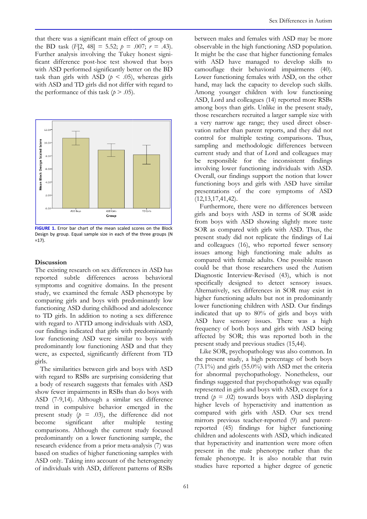that there was a significant main effect of group on the BD task  $(F[2, 48] = 5.52; p = .007; r = .43)$ . Further analysis involving the Tukey honest significant difference post-hoc test showed that boys with ASD performed significantly better on the BD task than girls with ASD ( $p < .05$ ), whereas girls with ASD and TD girls did not differ with regard to the performance of this task ( $p > .05$ ).



FIGURE 1. Error bar chart of the mean scaled scores on the Block Design by group. Equal sample size in each of the three groups (N  $=17$ ).

#### **Discussion**

The existing research on sex differences in ASD has reported subtle differences across behavioral symptoms and cognitive domains. In the present study, we examined the female ASD phenotype by comparing girls and boys with predominantly low functioning ASD during childhood and adolescence to TD girls. In addition to noting a sex difference with regard to ATTD among individuals with ASD, our findings indicated that girls with predominantly low functioning ASD were similar to boys with predominantly low functioning ASD and that they were, as expected, significantly different from TD girls.

The similarities between girls and boys with ASD with regard to RSBs are surprising considering that a body of research suggests that females with ASD show fewer impairments in RSBs than do boys with ASD (7-9,14). Although a similar sex difference trend in compulsive behavior emerged in the present study  $(p = .03)$ , the difference did not become significant after multiple testing become significant after multiple testing comparisons. Although the current study focused predominantly on a lower functioning sample, the research evidence from a prior meta-analysis (7) was based on studies of higher functioning samples with ASD only. Taking into account of the heterogeneity of individuals with ASD, different patterns of RSB

between males and females with ASD may be more observable in the high functioning ASD population. It might be the case that higher functioning females with ASD have managed to develop skills to camouflage their behavioral impairments (40). Lower functioning females with ASD, on the other hand, may lack the capacity to develop such skills. Among younger children with low functioning ASD, Lord and colleagues (14) reported more RSBs among boys than girls. Unlike in the present study, those researchers recruited a larger sample size with a very narrow age range; they used direct obser vation rather than parent reports, and they did not control for multiple testing comparisons. Thus, sampling and methodologic differences between current study and that of Lord a and colleagues may be responsible for the inconsistent findings involving lower functioning individuals with ASD. Overall, our findings support the notion that lower functioning boys and girls with ASD have similar presentations of the core symptoms of ASD (12,13,17,41,42). ing females with ASD, on the other<br>the capacity to develop such skills.<br>er children with low functioning<br>colleagues (14) reported more RSBs<br>an girls. Unlike in the present study,<br>rs recruited a larger sample size with<br>age

Furthermore, there were no differences between girls and boys with ASD in terms of SOR aside from boys with ASD showing slightly more taste SOR as compared with girls with ASD. Thus, the present study did not replicate the findings of Lai and colleagues (16), who reported fewer sensory issues among high functioning male adults as compared with female adults. One possible reason could be that those researchers used the Autism Diagnostic Interview-Revised (43), which is not specifically designed to detect sensory issues. Alternatively, sex differences in SOR may exist in higher functioning adults but not in predominantly lower functioning children with ASD. Our findings indicated that up to 80% of girls and boys with Diagnostic Interview-Revised (43), which is not specifically designed to detect sensory issues.<br>Alternatively, sex differences in SOR may exist in higher functioning adults but not in predominantly lower functioning childr frequency of both boys and girls with ASD being affected by SOR; this was reported both in the present study and previous studies (15,44).

Like SOR, psychopathology was also common. In the present study, a high percentage of both boys (73.1%) and girls (55.0%) with ASD met the criteria for abnormal psychopathology. Nonetheless, our findings suggested that psychopathology was equally represented in girls and boys with ASD, except for a trend ( $p = .02$ ) towards boys with ASD displaying higher levels of hyperactivity and inattention as compared with girls with ASD. Our sex trend mirrors previous teacher-reported (9) and parent reported (45) findings for higher functioning children and adolescents with ASD, which indicated that hyperactivity and inattention were more often present in the male phenotype rather than the female phenotype. It is also notable that twin studies have reported a higher degree of genetic 1%) and girls (55.0%) with ASD met the criteria<br>abnormal psychopathology. Nonetheless, our<br>lings suggested that psychopathology was equally<br>resented in girls and boys with ASD, except for a<br>d  $(p = .02)$  towards boys with AS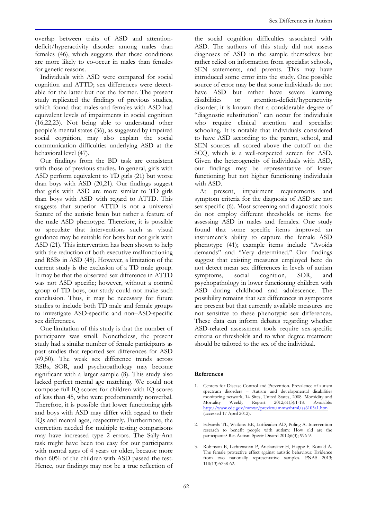overlap between traits of ASD and attentiondeficit/hyperactivity disorder among males than females (46), which suggests that these conditions are more likely to co-occur in males than females for genetic reasons.

Individuals with ASD were compared for social cognition and ATTD; sex differences were detectable for the latter but not the former. The present study replicated the findings of previous studies, which found that males and females with ASD had equivalent levels of impairments in social cognition (16,22,23). Not being able to understand other people's mental states (36), as suggested by impaired social cognition, may also explain the social communication difficulties underlying ASD at the behavioral level (47).

Our findings from the BD task are consistent with those of previous studies. In general, girls with ASD perform equivalent to TD girls (21) but worse than boys with ASD (20,21). Our findings suggest that girls with ASD are more similar to TD girls than boys with ASD with regard to ATTD. This suggests that superior ATTD is not a universal feature of the autistic brain but rather a feature of the male ASD phenotype. Therefore, it is possible to speculate that interventions such as visual guidance may be suitable for boys but not girls with ASD (21). This intervention has been shown to help with the reduction of both executive malfunctioning and RSBs in ASD (48). However, a limitation of the current study is the exclusion of a TD male group. It may be that the observed sex difference in ATTD was not ASD specific; however, without a control group of TD boys, our study could not make such conclusion. Thus, it may be necessary for future studies to include both TD male and female groups to investigate ASD-specific and non–ASD-specific sex differences.

One limitation of this study is that the number of participants was small. Nonetheless, the present study had a similar number of female participants as past studies that reported sex differences for ASD (49,50). The weak sex difference trends across RSBs, SOR, and psychopathology may become significant with a larger sample (8). This study also lacked perfect mental age matching. We could not compose full IQ scores for children with IQ scores of less than 45, who were predominantly nonverbal. Therefore, it is possible that lower functioning girls and boys with ASD may differ with regard to their IQs and mental ages, respectively. Furthermore, the correction needed for multiple testing comparisons may have increased type 2 errors. The Sally-Ann task might have been too easy for our participants with mental ages of 4 years or older, because more than 60% of the children with ASD passed the test. Hence, our findings may not be a true reflection of

the social cognition difficulties associated with ASD. The authors of this study did not assess diagnoses of ASD in the sample themselves but rather relied on information from specialist schools, SEN statements, and parents. This may have introduced some error into the study. One possible source of error may be that some individuals do not have ASD but rather have severe learning disabilities or attention-deficit/hyperactivity disorder; it is known that a considerable degree of "diagnostic substitution" can occur for individuals who require clinical attention and specialist schooling. It is notable that individuals considered to have ASD according to the parent, school, and SEN sources all scored above the cutoff on the SCQ, which is a well-respected screen for ASD. Given the heterogeneity of individuals with ASD, our findings may be representative of lower functioning but not higher functioning individuals with ASD.

At present, impairment requirements and symptom criteria for the diagnosis of ASD are not sex specific (6). Most screening and diagnostic tools do not employ different thresholds or items for assessing ASD in males and females. One study found that some specific items improved an instrument's ability to capture the female ASD phenotype (41); example items include "Avoids demands" and "Very determined." Our findings suggest that existing measures employed here do not detect mean sex differences in levels of autism symptoms, social cognition, SOR, and psychopathology in lower functioning children with ASD during childhood and adolescence. The possibility remains that sex differences in symptoms are present but that currently available measures are not sensitive to these phenotypic sex differences. These data can inform debates regarding whether ASD-related assessment tools require sex-specific criteria or thresholds and to what degree treatment should be tailored to the sex of the individual.

#### References

- 1. Centers for Disease Control and Prevention. Prevalence of autism spectrum disorders – Autism and developmental disabilities monitoring network, 14 Sites, United States, 2008. Morbidity and Mortality Weekly Report 2012;61(3):1-18. Available: Mortality Weekly Report 2012;61(3):1-18.<br>http://www.cdc.gov/mmwr/preview/mmwrhtml/ss http://www.cdc.gov/mmwr/preview/mmwrhtml/ss6103a1.htm (accessed 17 April 2012).
- 2. Edwards TL, Watkins EE, Lotfizadeh AD, Poling A. Intervention research to benefit people with autism: How old are the participants? Res Autism Spectr Disord 2012;6(3); 996-9.
- 3. Robinson E, Lichtenstein P, Anckarsäter H, Happe F, Ronald A. The female protective effect against autistic behaviour: Evidence from two nationally representative samples. PNAS 2013; 110(13):5258-62.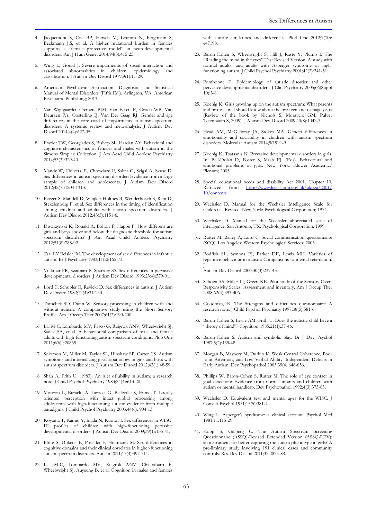- 4. Jacquemont S, Coe BP, Hersch M, Krumm N, Bergmann S, Beckmann J.S, et al. A higher mutational burden in females supports a "female protective model" in neurodevelopmental disorders. Am J Hum Genet 2014;94(3):415-25.
- 5. Wing L, Gould J. Severe impairments of social interaction and associated abnormalities in children: epidemiology and classification. J Autism Dev Disord 1979;9(1):11-29.
- 6. American Psychiatric Association. Diagnostic and Statistical Manual of Mental Disorders (Fifth Ed.). Arlington, VA: American Psychiatric Publishing; 2013.
- 7. Van Wijngaarden-Cremers PJM, Van Eeten E, Groen WB, Van Deurzen PA, Oosterling IJ, Van Der Gaag RJ. Gender and age differences in the core triad of impairments in autism spectrum disorders: A systemic review and meta-analysis. J Autism Dev Disord 2014;4(4):627-35.
- 8. Frazier TW, Georgiades S, Bishop SL, Hardan AY. Behavioral and cognitive characteristics of females and males with autism in the Simons Simplex Collection. J Am Acad Child Adolesc Psychiatry 2014;53(3):329-40.
- 9. Mandy W, Chilvers, R, Chowdury U, Salter G, Seigal A, Skuse D. Sex differences in autism spectrum disorder: Evidence from a large sample of children and adolescents. J Autism Dev Disord 2012;42(7):1204-1313.
- 10. Beeger S, Mandell D, Winjker-Holmes B, Wenderbosch S, Rem D, Stekelenburg F, et al. Sex differences in the timing of identification among children and adults with autism spectrum disorders. J Autism Dev Disord 2012;43(5):1151-6.
- 11. Dworzynski K, Ronald A, Bolton P, Happe F. How different are girls and boys above and below the diagnostic threshold for autism spectrum disorders? J Am Acad Child Adolesc Psychiatry 2012;51(8):788-92.
- 12. Tsai LY Beisler JM. The development of sex differences in infantile autism. Br J Psychiatry 1983;11(2):165-73.
- 13. Volkmar FR, Szatmari P, Sparrow SS. Sex differences in pervasive developmental disorders. J Autism Dev Disord 1993;23(4):579-91.
- 14. Lord C, Schopler E, Revicki D. Sex differences in autism. J Autism Dev Disord 1982;12(4):317-30.
- 15. Tomchek SD, Dunn W. Sensory processing in children with and without autism: A comparative study using the Short Sensory Profile. Am J Occup Ther 2007;61(2):190-200.
- 16. Lai M-C, Lombardo MV, Pasco G, Ruigrok ANV, Wheelwright SJ, Sadek SA, et al. A behavioural comparison of male and female adults with high functioning autism spectrum conditions. PloS One 2011;6(6):e20835.
- 17. Solomon M, Miller M, Taylor SL, Hinshaw SP, Carter CS. Autism symptoms and internalizing psychopathology in girls and boys with autism spectrum disorders. J Autism Dev Disord 2012;42(1):48-59.
- 18. Shah A, Frith U. (1983). An islet of ability in autism: a research note. J Child Psychol Psychiatry 1983;24(4):613-20.
- 19. Mottron L, Burack JA, Larocci G, Belleville S, Enns JT. Locally oriented perception with intact global processing among adolescents with high-functioning autism: evidence from multiple paradigms. J Child Psychol Psychiatry 2003;44(6): 904-13.
- 20. Koyama T, Kamio Y, Inada N, Kurita H. Sex differences in WISC-III profiles of children with high-functioning pervasive developmental disorders. J Autism Dev Disord 2009;39(1):135-41.
- 21. Bölte S, Duketis E, Poustka F, Holtmann M. Sex differences in cognitive domains and their clinical correlates in higher-functioning autism spectrum disorders. Autism 2011;15(4):497-511.
- 22. Lai M-C, Lombardo MV, Ruigrok ANV, Chakrabarti B, Wheelwright SJ, Auyeung B, et al. Cognition in males and females

with autism: similarities and differences. PloS One 2012;7(10): e47198.

- 23. Baron-Cohen S, Wheelwright S, Hill J, Raste Y, Plumb I. The "Reading the mind in the eyes" Test Revised Version: A study with normal adults, and adults with Asperger syndrome or highfunctioning autism. J Child Psychol Psychiatry 2001;42(2):241-51.
- 24. Fombonne E. Epidemiology of autistic disorder and other pervasive developmental disorders. J Clin Psychiatry 2005;66(Suppl  $10$ : 3-8.
- 25. Koenig K. Girls growing up on the autism spectrum: What parents and professional should know about the pre-teen and teenage years (Review of the book by Nichols S, Moravcik GM, Pulver Tetenbaum S, 2009). J Autism Dev Disord 2009;40(8):1042-3.
- 26. Head AM, McGillivray JA, Stokes MA. Gender differences in emotionality and sociability in children with autism spectrum disorders. Molecular Autism 2014;5(19):1-9.
- 27. Koenig K, Tsatsanis K. Pervasive developmental disorders in girls. In: Bell-Dolan D, Foster S, Mash EJ. (Eds). Behavioural and emotional problems in girls. New York: Kluwer Academic/ Plenum; 2005.
- 28. Special educational needs and disability Act 2001. Chapter 10. Retrieved from http://www.legislation.gov.uk/ukpga 10/contents
- 29. Wechsler D. Manual for the Wechsler Intelligence Scale for Children – Revised. New York: Psychological Corporation; 1974.
- 30. Wechsler D. Manual for the Wechsler abbreviated scale of intelligence. San Antonio, TX: Psychological Corporation; 1999.
- 31. Rutter M, Bailey A, Lord C. Social communication questionnaire (SCQ). Los Angeles: Western Psychological Services; 2003.
- 32. Bodfish SL, Symons FJ, Parker DE, Lewis MH. Varieties of repetitive behaviour in autism: Comparisons to mental retardation. J Autism Dev Disord 2000;30(3):237-43.
- 33. Schoen SA, Miller LJ, Green KE. Pilot study of the Sensory Over-Responsivity Scales: Assessment and inventory. Am J Occup Ther 2008;62(4);393-406.
- 34. Goodman, R. The Strengths and difficulties questionnaire: A research note. J Child Psychol Psychiatry 1997;38(5):581-6.
- 35. Baron-Cohen S, Leslie AM, Frith U. Does the autistic child have a "theory of mind"? Cognition 1985;21(1):37-46.
- 36. Baron-Cohen S. Autism and symbolic play. Br J Dev Psychol 1987;5(2):139-48.
- 37. Morgan B, Maybery M, Durkin K. Weak Central Coherence, Poor Joint Attention, and Low Verbal Ability: Independent Deficits in Early Autism. Dev Psychopathol 2003;39(4):646-656.
- 38. Phillips W, Baron-Cohen S, Rutter M. The role of eye contact in goal detection: Evidence from normal infants and children with autism or mental handicap. Dev Psychopathol 1992;4(3):375-83.
- 39. Wechsler D. Equivalent test and mental ages for the WISC. J Consult Psychol 1951;15(5):381-4.
- 40. Wing L. Asperger's syndrome: a clinical account. Psychol Med 1981;11:115-29.
- 41. Kopp S, Gillberg C. The Autism Spectrum Screening Questionnaire (ASSQ)-Revised Extended Version (ASSQ-REV): an instrument for better capturing the autism phenotype in girls? A pre-liminary study involving 191 clinical cases and community controls. Res Dev Disabil 2011;32:2875-88.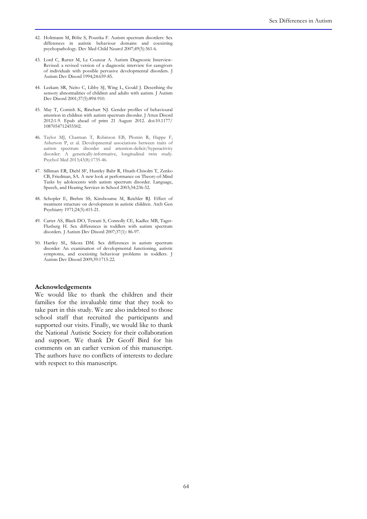- 42. Holtmann M, Bölte S, Poustka F. Autism spectrum disorders: Sex differences in autistic behaviour domains and coexisting psychopathology. Dev Med Child Neurol 2007;49(5):361-6.
- 43. Lord C, Rutter M, Le Couteur A. Autism Diagnostic Interview-Revised: a revised version of a diagnostic interview for caregivers of individuals with possible pervasive developmental disorders. J Autism Dev Disord 1994;24:659-85.
- 44. Leekam SR, Neito C, Libby SJ, Wing L, Gould J. Describing the sensory abnormalities of children and adults with autism. J Autism Dev Disord 2001;37(5):894-910.
- 45. May T, Cornish K, Rinehart NJ. Gender profiles of behavioural attention in children with autism spectrum disorder. J Atten Disord 2012:1-9. Epub ahead of print 21 August 2012. doi:10.1177/ 1087054712455502.
- 46. Taylor MJ, Charman T, Robinson EB, Plomin R, Happe F, Asherson P, et al. Developmental associations between traits of autism spectrum disorder and attention-deficit/hyperactivity disorder: A genetically-informative, longitudinal twin study. Psychol Med 2013;43(8):1735-46.
- 47. Silliman ER, Diehl SF, Huntley Bahr R, Hnath-Chisolm T, Zenko CB, Friedman, SA. A new look at performance on Theory-of-Mind Tasks by adolescents with autism spectrum disorder. Language, Speech, and Hearing Services in School 2003;34:236-52.
- 48. Schopler E, Brehm SS, Kinsbourne M, Reichler RJ. Effect of treatment structure on development in autistic children. Arch Gen Psychiatry 1971;24(5):415-21.
- 49. Carter AS, Black DO, Tewani S, Connolly CE, Kadlec MB, Tager-Flusberg H. Sex differences in toddlers with autism spectrum disorders. J Autism Dev Disord 2007;37(1): 86-97.
- 50. Hartley SL, Sikora DM. Sex differences in autism spectrum disorder: An examination of developmental functioning, autistic symptoms, and coexisting behaviour problems in toddlers. J Autism Dev Disord 2009;39:1715-22.

#### Acknowledgements

We would like to thank the children and their families for the invaluable time that they took to take part in this study. We are also indebted to those school staff that recruited the participants and supported our visits. Finally, we would like to thank the National Autistic Society for their collaboration and support. We thank Dr Geoff Bird for his comments on an earlier version of this manuscript. The authors have no conflicts of interests to declare with respect to this manuscript.